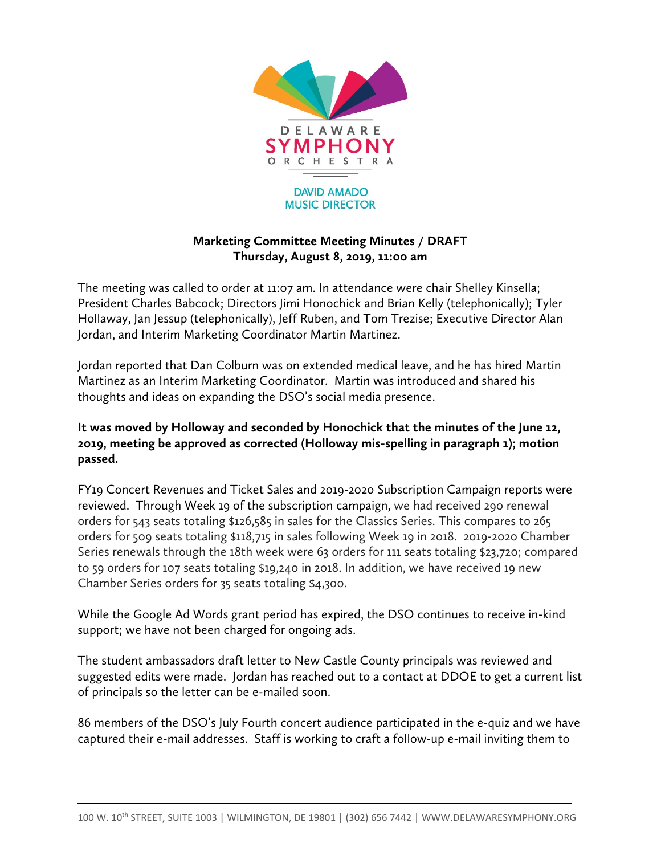

## **Marketing Committee Meeting Minutes / DRAFT Thursday, August 8, 2019, 11:00 am**

The meeting was called to order at 11:07 am. In attendance were chair Shelley Kinsella; President Charles Babcock; Directors Jimi Honochick and Brian Kelly (telephonically); Tyler Hollaway, Jan Jessup (telephonically), Jeff Ruben, and Tom Trezise; Executive Director Alan Jordan, and Interim Marketing Coordinator Martin Martinez.

Jordan reported that Dan Colburn was on extended medical leave, and he has hired Martin Martinez as an Interim Marketing Coordinator. Martin was introduced and shared his thoughts and ideas on expanding the DSO's social media presence.

## **It was moved by Holloway and seconded by Honochick that the minutes of the June 12, 2019, meeting be approved as corrected (Holloway mis-spelling in paragraph 1); motion passed.**

FY19 Concert Revenues and Ticket Sales and 2019-2020 Subscription Campaign reports were reviewed. Through Week 19 of the subscription campaign, we had received 290 renewal orders for 543 seats totaling \$126,585 in sales for the Classics Series. This compares to 265 orders for 509 seats totaling \$118,715 in sales following Week 19 in 2018. 2019-2020 Chamber Series renewals through the 18th week were 63 orders for 111 seats totaling \$23,720; compared to 59 orders for 107 seats totaling \$19,240 in 2018. In addition, we have received 19 new Chamber Series orders for 35 seats totaling \$4,300.

While the Google Ad Words grant period has expired, the DSO continues to receive in-kind support; we have not been charged for ongoing ads.

The student ambassadors draft letter to New Castle County principals was reviewed and suggested edits were made. Jordan has reached out to a contact at DDOE to get a current list of principals so the letter can be e-mailed soon.

86 members of the DSO's July Fourth concert audience participated in the e-quiz and we have captured their e-mail addresses. Staff is working to craft a follow-up e-mail inviting them to